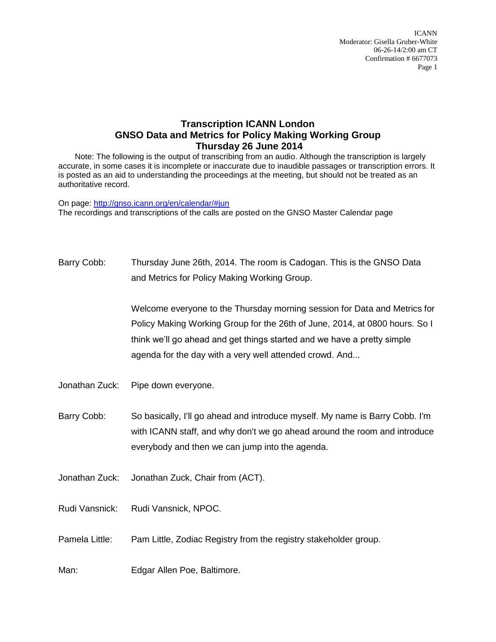ICANN Moderator: Gisella Gruber-White 06-26-14/2:00 am CT Confirmation # 6677073 Page 1

## **Transcription ICANN London GNSO Data and Metrics for Policy Making Working Group Thursday 26 June 2014**

Note: The following is the output of transcribing from an audio. Although the transcription is largely accurate, in some cases it is incomplete or inaccurate due to inaudible passages or transcription errors. It is posted as an aid to understanding the proceedings at the meeting, but should not be treated as an authoritative record.

On page:<http://gnso.icann.org/en/calendar/#jun> The recordings and transcriptions of the calls are posted on the GNSO Master Calendar page

Barry Cobb: Thursday June 26th, 2014. The room is Cadogan. This is the GNSO Data and Metrics for Policy Making Working Group.

> Welcome everyone to the Thursday morning session for Data and Metrics for Policy Making Working Group for the 26th of June, 2014, at 0800 hours. So I think we'll go ahead and get things started and we have a pretty simple agenda for the day with a very well attended crowd. And...

Jonathan Zuck: Pipe down everyone.

Barry Cobb: So basically, I'll go ahead and introduce myself. My name is Barry Cobb. I'm with ICANN staff, and why don't we go ahead around the room and introduce everybody and then we can jump into the agenda.

Jonathan Zuck: Jonathan Zuck, Chair from (ACT).

Rudi Vansnick: Rudi Vansnick, NPOC.

Pamela Little: Pam Little, Zodiac Registry from the registry stakeholder group.

Man: Edgar Allen Poe, Baltimore.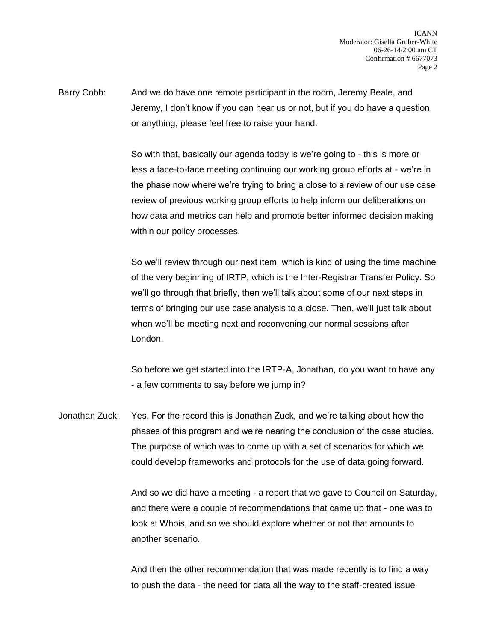Barry Cobb: And we do have one remote participant in the room, Jeremy Beale, and Jeremy, I don't know if you can hear us or not, but if you do have a question or anything, please feel free to raise your hand.

> So with that, basically our agenda today is we're going to - this is more or less a face-to-face meeting continuing our working group efforts at - we're in the phase now where we're trying to bring a close to a review of our use case review of previous working group efforts to help inform our deliberations on how data and metrics can help and promote better informed decision making within our policy processes.

> So we'll review through our next item, which is kind of using the time machine of the very beginning of IRTP, which is the Inter-Registrar Transfer Policy. So we'll go through that briefly, then we'll talk about some of our next steps in terms of bringing our use case analysis to a close. Then, we'll just talk about when we'll be meeting next and reconvening our normal sessions after London.

> So before we get started into the IRTP-A, Jonathan, do you want to have any - a few comments to say before we jump in?

Jonathan Zuck: Yes. For the record this is Jonathan Zuck, and we're talking about how the phases of this program and we're nearing the conclusion of the case studies. The purpose of which was to come up with a set of scenarios for which we could develop frameworks and protocols for the use of data going forward.

> And so we did have a meeting - a report that we gave to Council on Saturday, and there were a couple of recommendations that came up that - one was to look at Whois, and so we should explore whether or not that amounts to another scenario.

And then the other recommendation that was made recently is to find a way to push the data - the need for data all the way to the staff-created issue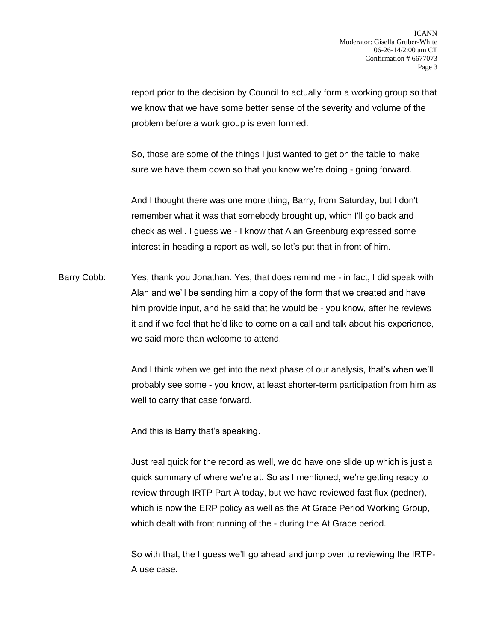report prior to the decision by Council to actually form a working group so that we know that we have some better sense of the severity and volume of the problem before a work group is even formed.

So, those are some of the things I just wanted to get on the table to make sure we have them down so that you know we're doing - going forward.

And I thought there was one more thing, Barry, from Saturday, but I don't remember what it was that somebody brought up, which I'll go back and check as well. I guess we - I know that Alan Greenburg expressed some interest in heading a report as well, so let's put that in front of him.

Barry Cobb: Yes, thank you Jonathan. Yes, that does remind me - in fact, I did speak with Alan and we'll be sending him a copy of the form that we created and have him provide input, and he said that he would be - you know, after he reviews it and if we feel that he'd like to come on a call and talk about his experience, we said more than welcome to attend.

> And I think when we get into the next phase of our analysis, that's when we'll probably see some - you know, at least shorter-term participation from him as well to carry that case forward.

And this is Barry that's speaking.

Just real quick for the record as well, we do have one slide up which is just a quick summary of where we're at. So as I mentioned, we're getting ready to review through IRTP Part A today, but we have reviewed fast flux (pedner), which is now the ERP policy as well as the At Grace Period Working Group, which dealt with front running of the - during the At Grace period.

So with that, the I guess we'll go ahead and jump over to reviewing the IRTP-A use case.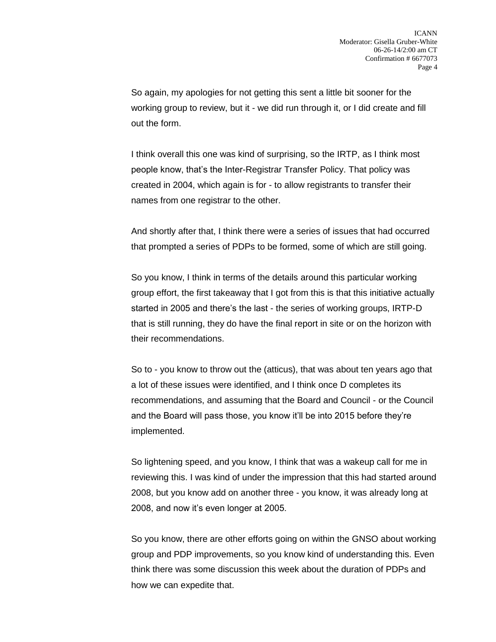So again, my apologies for not getting this sent a little bit sooner for the working group to review, but it - we did run through it, or I did create and fill out the form.

I think overall this one was kind of surprising, so the IRTP, as I think most people know, that's the Inter-Registrar Transfer Policy. That policy was created in 2004, which again is for - to allow registrants to transfer their names from one registrar to the other.

And shortly after that, I think there were a series of issues that had occurred that prompted a series of PDPs to be formed, some of which are still going.

So you know, I think in terms of the details around this particular working group effort, the first takeaway that I got from this is that this initiative actually started in 2005 and there's the last - the series of working groups, IRTP-D that is still running, they do have the final report in site or on the horizon with their recommendations.

So to - you know to throw out the (atticus), that was about ten years ago that a lot of these issues were identified, and I think once D completes its recommendations, and assuming that the Board and Council - or the Council and the Board will pass those, you know it'll be into 2015 before they're implemented.

So lightening speed, and you know, I think that was a wakeup call for me in reviewing this. I was kind of under the impression that this had started around 2008, but you know add on another three - you know, it was already long at 2008, and now it's even longer at 2005.

So you know, there are other efforts going on within the GNSO about working group and PDP improvements, so you know kind of understanding this. Even think there was some discussion this week about the duration of PDPs and how we can expedite that.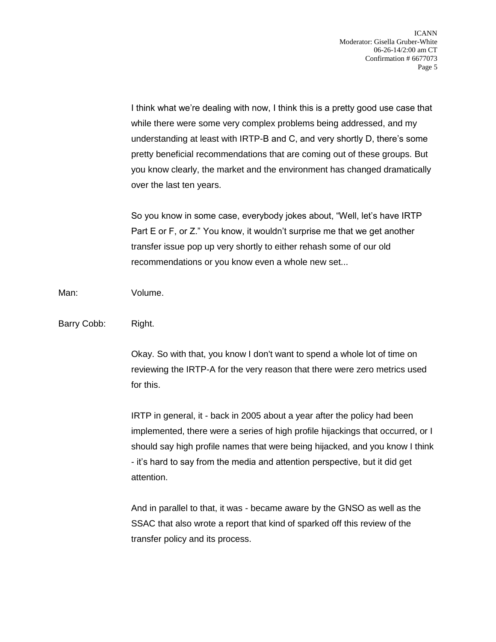I think what we're dealing with now, I think this is a pretty good use case that while there were some very complex problems being addressed, and my understanding at least with IRTP-B and C, and very shortly D, there's some pretty beneficial recommendations that are coming out of these groups. But you know clearly, the market and the environment has changed dramatically over the last ten years.

So you know in some case, everybody jokes about, "Well, let's have IRTP Part E or F, or Z." You know, it wouldn't surprise me that we get another transfer issue pop up very shortly to either rehash some of our old recommendations or you know even a whole new set...

Man: Volume.

Barry Cobb: Right.

Okay. So with that, you know I don't want to spend a whole lot of time on reviewing the IRTP-A for the very reason that there were zero metrics used for this.

IRTP in general, it - back in 2005 about a year after the policy had been implemented, there were a series of high profile hijackings that occurred, or I should say high profile names that were being hijacked, and you know I think - it's hard to say from the media and attention perspective, but it did get attention.

And in parallel to that, it was - became aware by the GNSO as well as the SSAC that also wrote a report that kind of sparked off this review of the transfer policy and its process.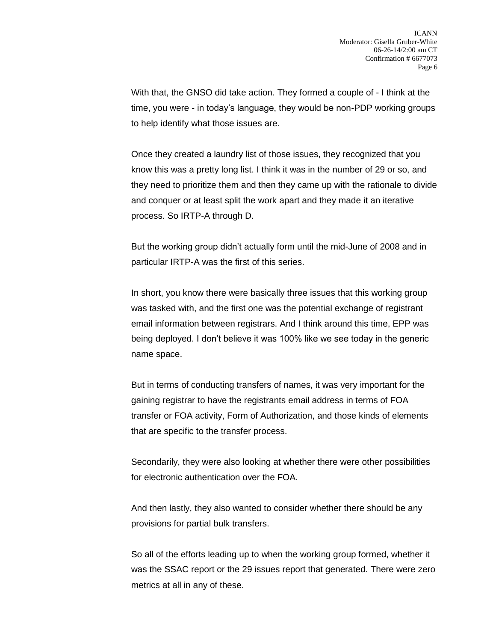With that, the GNSO did take action. They formed a couple of - I think at the time, you were - in today's language, they would be non-PDP working groups to help identify what those issues are.

Once they created a laundry list of those issues, they recognized that you know this was a pretty long list. I think it was in the number of 29 or so, and they need to prioritize them and then they came up with the rationale to divide and conquer or at least split the work apart and they made it an iterative process. So IRTP-A through D.

But the working group didn't actually form until the mid-June of 2008 and in particular IRTP-A was the first of this series.

In short, you know there were basically three issues that this working group was tasked with, and the first one was the potential exchange of registrant email information between registrars. And I think around this time, EPP was being deployed. I don't believe it was 100% like we see today in the generic name space.

But in terms of conducting transfers of names, it was very important for the gaining registrar to have the registrants email address in terms of FOA transfer or FOA activity, Form of Authorization, and those kinds of elements that are specific to the transfer process.

Secondarily, they were also looking at whether there were other possibilities for electronic authentication over the FOA.

And then lastly, they also wanted to consider whether there should be any provisions for partial bulk transfers.

So all of the efforts leading up to when the working group formed, whether it was the SSAC report or the 29 issues report that generated. There were zero metrics at all in any of these.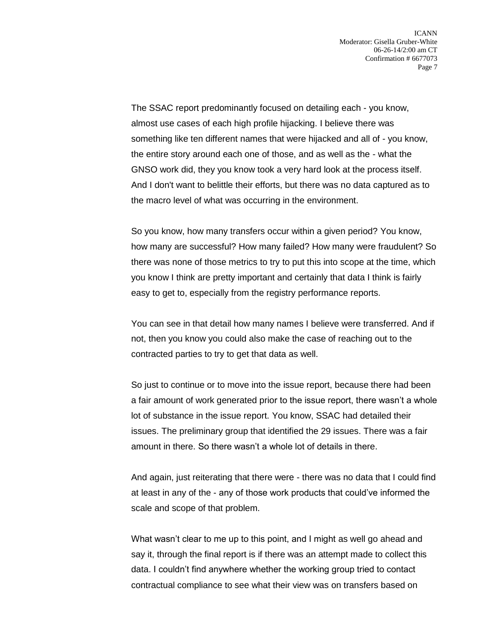The SSAC report predominantly focused on detailing each - you know, almost use cases of each high profile hijacking. I believe there was something like ten different names that were hijacked and all of - you know, the entire story around each one of those, and as well as the - what the GNSO work did, they you know took a very hard look at the process itself. And I don't want to belittle their efforts, but there was no data captured as to the macro level of what was occurring in the environment.

So you know, how many transfers occur within a given period? You know, how many are successful? How many failed? How many were fraudulent? So there was none of those metrics to try to put this into scope at the time, which you know I think are pretty important and certainly that data I think is fairly easy to get to, especially from the registry performance reports.

You can see in that detail how many names I believe were transferred. And if not, then you know you could also make the case of reaching out to the contracted parties to try to get that data as well.

So just to continue or to move into the issue report, because there had been a fair amount of work generated prior to the issue report, there wasn't a whole lot of substance in the issue report. You know, SSAC had detailed their issues. The preliminary group that identified the 29 issues. There was a fair amount in there. So there wasn't a whole lot of details in there.

And again, just reiterating that there were - there was no data that I could find at least in any of the - any of those work products that could've informed the scale and scope of that problem.

What wasn't clear to me up to this point, and I might as well go ahead and say it, through the final report is if there was an attempt made to collect this data. I couldn't find anywhere whether the working group tried to contact contractual compliance to see what their view was on transfers based on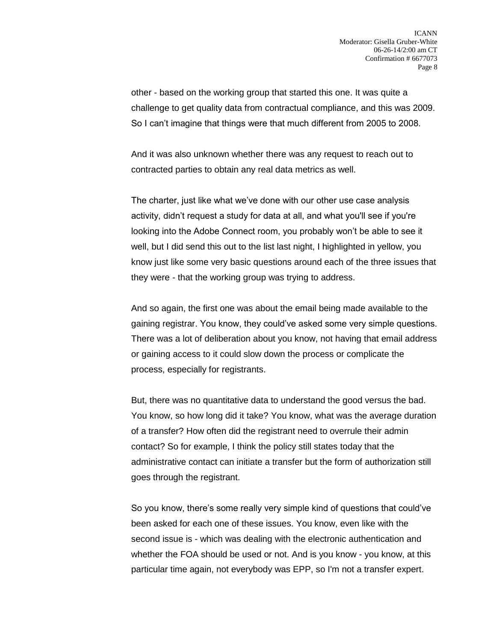other - based on the working group that started this one. It was quite a challenge to get quality data from contractual compliance, and this was 2009. So I can't imagine that things were that much different from 2005 to 2008.

And it was also unknown whether there was any request to reach out to contracted parties to obtain any real data metrics as well.

The charter, just like what we've done with our other use case analysis activity, didn't request a study for data at all, and what you'll see if you're looking into the Adobe Connect room, you probably won't be able to see it well, but I did send this out to the list last night, I highlighted in yellow, you know just like some very basic questions around each of the three issues that they were - that the working group was trying to address.

And so again, the first one was about the email being made available to the gaining registrar. You know, they could've asked some very simple questions. There was a lot of deliberation about you know, not having that email address or gaining access to it could slow down the process or complicate the process, especially for registrants.

But, there was no quantitative data to understand the good versus the bad. You know, so how long did it take? You know, what was the average duration of a transfer? How often did the registrant need to overrule their admin contact? So for example, I think the policy still states today that the administrative contact can initiate a transfer but the form of authorization still goes through the registrant.

So you know, there's some really very simple kind of questions that could've been asked for each one of these issues. You know, even like with the second issue is - which was dealing with the electronic authentication and whether the FOA should be used or not. And is you know - you know, at this particular time again, not everybody was EPP, so I'm not a transfer expert.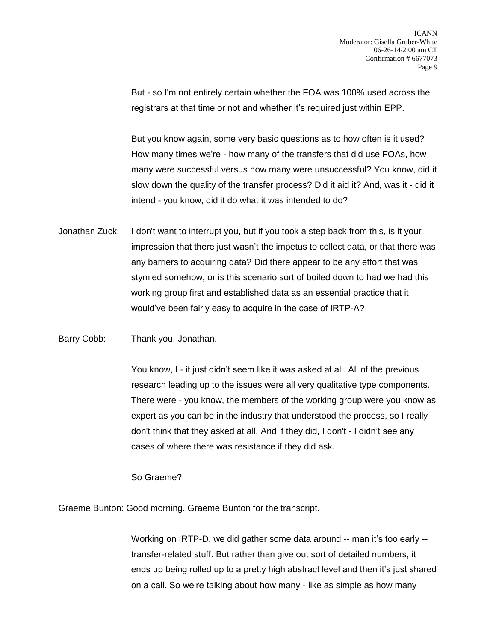But - so I'm not entirely certain whether the FOA was 100% used across the registrars at that time or not and whether it's required just within EPP.

But you know again, some very basic questions as to how often is it used? How many times we're - how many of the transfers that did use FOAs, how many were successful versus how many were unsuccessful? You know, did it slow down the quality of the transfer process? Did it aid it? And, was it - did it intend - you know, did it do what it was intended to do?

Jonathan Zuck: I don't want to interrupt you, but if you took a step back from this, is it your impression that there just wasn't the impetus to collect data, or that there was any barriers to acquiring data? Did there appear to be any effort that was stymied somehow, or is this scenario sort of boiled down to had we had this working group first and established data as an essential practice that it would've been fairly easy to acquire in the case of IRTP-A?

Barry Cobb: Thank you, Jonathan.

You know, I - it just didn't seem like it was asked at all. All of the previous research leading up to the issues were all very qualitative type components. There were - you know, the members of the working group were you know as expert as you can be in the industry that understood the process, so I really don't think that they asked at all. And if they did, I don't - I didn't see any cases of where there was resistance if they did ask.

So Graeme?

Graeme Bunton: Good morning. Graeme Bunton for the transcript.

Working on IRTP-D, we did gather some data around -- man it's too early - transfer-related stuff. But rather than give out sort of detailed numbers, it ends up being rolled up to a pretty high abstract level and then it's just shared on a call. So we're talking about how many - like as simple as how many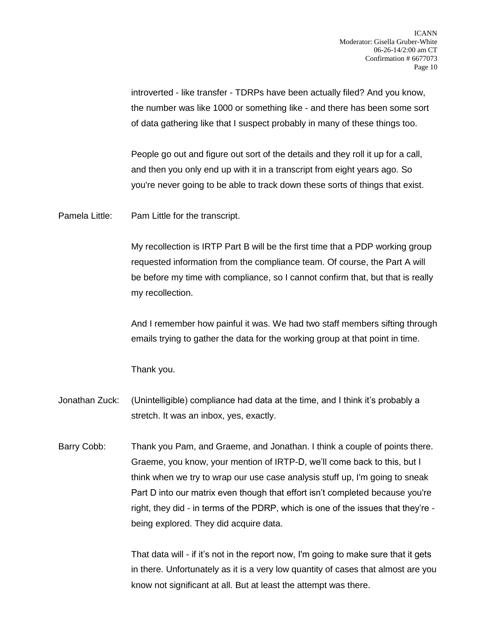introverted - like transfer - TDRPs have been actually filed? And you know, the number was like 1000 or something like - and there has been some sort of data gathering like that I suspect probably in many of these things too.

People go out and figure out sort of the details and they roll it up for a call, and then you only end up with it in a transcript from eight years ago. So you're never going to be able to track down these sorts of things that exist.

Pamela Little: Pam Little for the transcript.

My recollection is IRTP Part B will be the first time that a PDP working group requested information from the compliance team. Of course, the Part A will be before my time with compliance, so I cannot confirm that, but that is really my recollection.

And I remember how painful it was. We had two staff members sifting through emails trying to gather the data for the working group at that point in time.

Thank you.

- Jonathan Zuck: (Unintelligible) compliance had data at the time, and I think it's probably a stretch. It was an inbox, yes, exactly.
- Barry Cobb: Thank you Pam, and Graeme, and Jonathan. I think a couple of points there. Graeme, you know, your mention of IRTP-D, we'll come back to this, but I think when we try to wrap our use case analysis stuff up, I'm going to sneak Part D into our matrix even though that effort isn't completed because you're right, they did - in terms of the PDRP, which is one of the issues that they're being explored. They did acquire data.

That data will - if it's not in the report now, I'm going to make sure that it gets in there. Unfortunately as it is a very low quantity of cases that almost are you know not significant at all. But at least the attempt was there.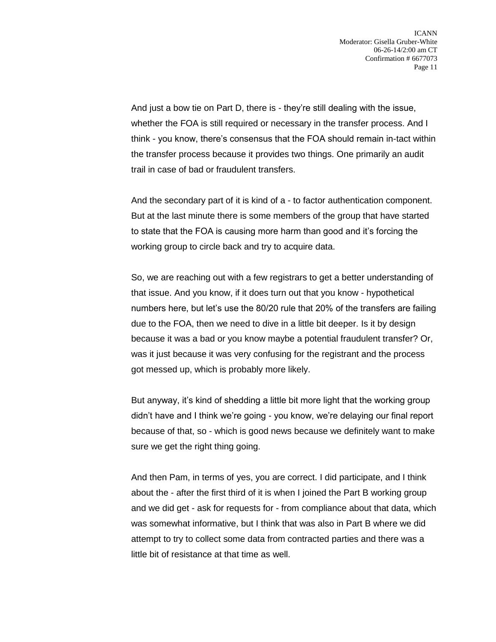And just a bow tie on Part D, there is - they're still dealing with the issue, whether the FOA is still required or necessary in the transfer process. And I think - you know, there's consensus that the FOA should remain in-tact within the transfer process because it provides two things. One primarily an audit trail in case of bad or fraudulent transfers.

And the secondary part of it is kind of a - to factor authentication component. But at the last minute there is some members of the group that have started to state that the FOA is causing more harm than good and it's forcing the working group to circle back and try to acquire data.

So, we are reaching out with a few registrars to get a better understanding of that issue. And you know, if it does turn out that you know - hypothetical numbers here, but let's use the 80/20 rule that 20% of the transfers are failing due to the FOA, then we need to dive in a little bit deeper. Is it by design because it was a bad or you know maybe a potential fraudulent transfer? Or, was it just because it was very confusing for the registrant and the process got messed up, which is probably more likely.

But anyway, it's kind of shedding a little bit more light that the working group didn't have and I think we're going - you know, we're delaying our final report because of that, so - which is good news because we definitely want to make sure we get the right thing going.

And then Pam, in terms of yes, you are correct. I did participate, and I think about the - after the first third of it is when I joined the Part B working group and we did get - ask for requests for - from compliance about that data, which was somewhat informative, but I think that was also in Part B where we did attempt to try to collect some data from contracted parties and there was a little bit of resistance at that time as well.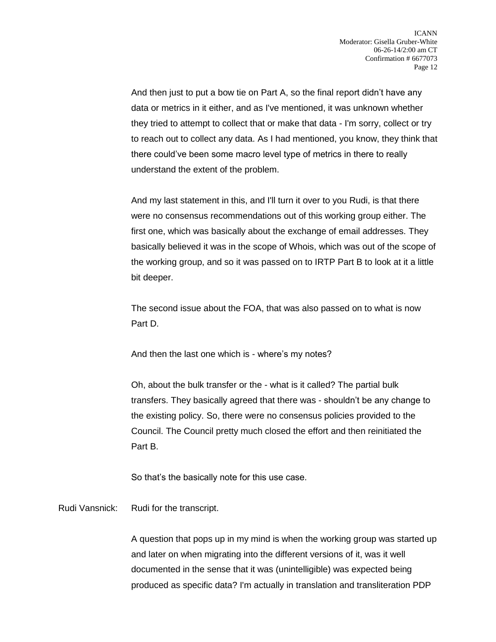And then just to put a bow tie on Part A, so the final report didn't have any data or metrics in it either, and as I've mentioned, it was unknown whether they tried to attempt to collect that or make that data - I'm sorry, collect or try to reach out to collect any data. As I had mentioned, you know, they think that there could've been some macro level type of metrics in there to really understand the extent of the problem.

And my last statement in this, and I'll turn it over to you Rudi, is that there were no consensus recommendations out of this working group either. The first one, which was basically about the exchange of email addresses. They basically believed it was in the scope of Whois, which was out of the scope of the working group, and so it was passed on to IRTP Part B to look at it a little bit deeper.

The second issue about the FOA, that was also passed on to what is now Part D.

And then the last one which is - where's my notes?

Oh, about the bulk transfer or the - what is it called? The partial bulk transfers. They basically agreed that there was - shouldn't be any change to the existing policy. So, there were no consensus policies provided to the Council. The Council pretty much closed the effort and then reinitiated the Part B.

So that's the basically note for this use case.

Rudi Vansnick: Rudi for the transcript.

A question that pops up in my mind is when the working group was started up and later on when migrating into the different versions of it, was it well documented in the sense that it was (unintelligible) was expected being produced as specific data? I'm actually in translation and transliteration PDP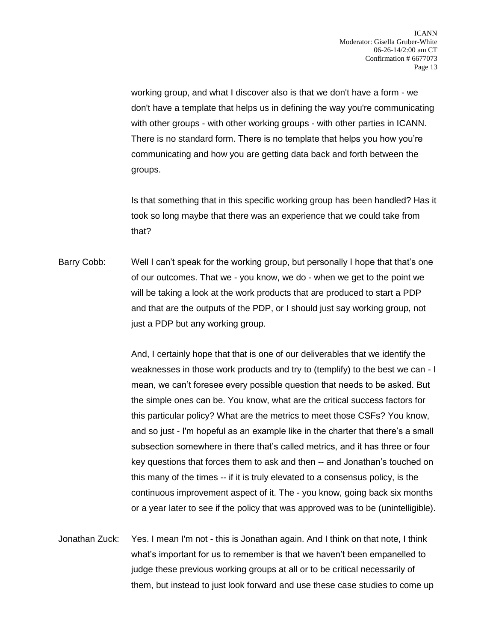working group, and what I discover also is that we don't have a form - we don't have a template that helps us in defining the way you're communicating with other groups - with other working groups - with other parties in ICANN. There is no standard form. There is no template that helps you how you're communicating and how you are getting data back and forth between the groups.

Is that something that in this specific working group has been handled? Has it took so long maybe that there was an experience that we could take from that?

Barry Cobb: Well I can't speak for the working group, but personally I hope that that's one of our outcomes. That we - you know, we do - when we get to the point we will be taking a look at the work products that are produced to start a PDP and that are the outputs of the PDP, or I should just say working group, not just a PDP but any working group.

> And, I certainly hope that that is one of our deliverables that we identify the weaknesses in those work products and try to (templify) to the best we can - I mean, we can't foresee every possible question that needs to be asked. But the simple ones can be. You know, what are the critical success factors for this particular policy? What are the metrics to meet those CSFs? You know, and so just - I'm hopeful as an example like in the charter that there's a small subsection somewhere in there that's called metrics, and it has three or four key questions that forces them to ask and then -- and Jonathan's touched on this many of the times -- if it is truly elevated to a consensus policy, is the continuous improvement aspect of it. The - you know, going back six months or a year later to see if the policy that was approved was to be (unintelligible).

Jonathan Zuck: Yes. I mean I'm not - this is Jonathan again. And I think on that note, I think what's important for us to remember is that we haven't been empanelled to judge these previous working groups at all or to be critical necessarily of them, but instead to just look forward and use these case studies to come up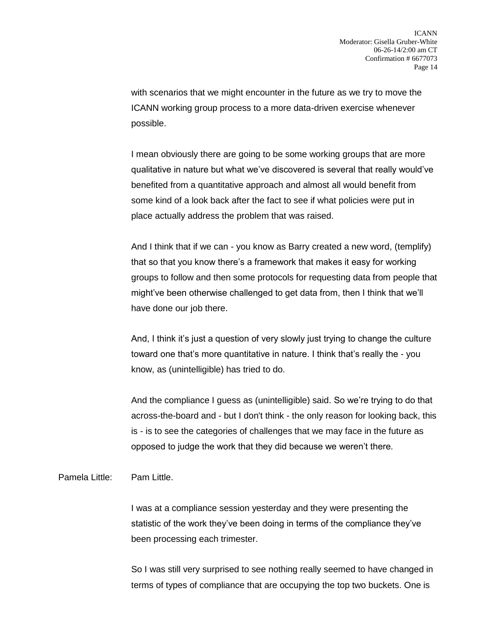with scenarios that we might encounter in the future as we try to move the ICANN working group process to a more data-driven exercise whenever possible.

I mean obviously there are going to be some working groups that are more qualitative in nature but what we've discovered is several that really would've benefited from a quantitative approach and almost all would benefit from some kind of a look back after the fact to see if what policies were put in place actually address the problem that was raised.

And I think that if we can - you know as Barry created a new word, (templify) that so that you know there's a framework that makes it easy for working groups to follow and then some protocols for requesting data from people that might've been otherwise challenged to get data from, then I think that we'll have done our job there.

And, I think it's just a question of very slowly just trying to change the culture toward one that's more quantitative in nature. I think that's really the - you know, as (unintelligible) has tried to do.

And the compliance I guess as (unintelligible) said. So we're trying to do that across-the-board and - but I don't think - the only reason for looking back, this is - is to see the categories of challenges that we may face in the future as opposed to judge the work that they did because we weren't there.

Pamela Little: Pam Little.

I was at a compliance session yesterday and they were presenting the statistic of the work they've been doing in terms of the compliance they've been processing each trimester.

So I was still very surprised to see nothing really seemed to have changed in terms of types of compliance that are occupying the top two buckets. One is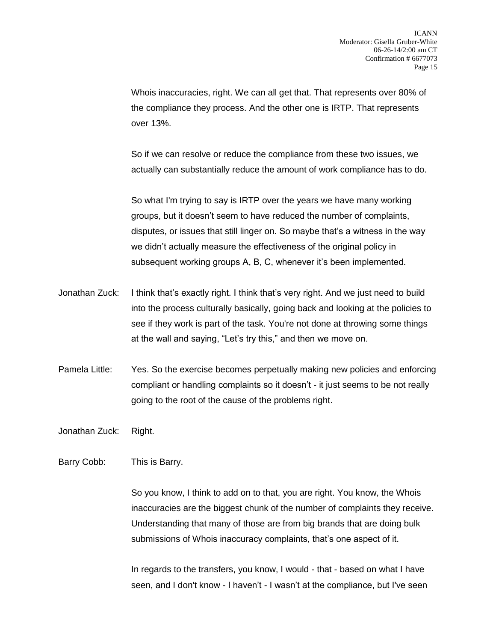Whois inaccuracies, right. We can all get that. That represents over 80% of the compliance they process. And the other one is IRTP. That represents over 13%.

So if we can resolve or reduce the compliance from these two issues, we actually can substantially reduce the amount of work compliance has to do.

So what I'm trying to say is IRTP over the years we have many working groups, but it doesn't seem to have reduced the number of complaints, disputes, or issues that still linger on. So maybe that's a witness in the way we didn't actually measure the effectiveness of the original policy in subsequent working groups A, B, C, whenever it's been implemented.

- Jonathan Zuck: I think that's exactly right. I think that's very right. And we just need to build into the process culturally basically, going back and looking at the policies to see if they work is part of the task. You're not done at throwing some things at the wall and saying, "Let's try this," and then we move on.
- Pamela Little: Yes. So the exercise becomes perpetually making new policies and enforcing compliant or handling complaints so it doesn't - it just seems to be not really going to the root of the cause of the problems right.

Jonathan Zuck: Right.

## Barry Cobb: This is Barry.

So you know, I think to add on to that, you are right. You know, the Whois inaccuracies are the biggest chunk of the number of complaints they receive. Understanding that many of those are from big brands that are doing bulk submissions of Whois inaccuracy complaints, that's one aspect of it.

In regards to the transfers, you know, I would - that - based on what I have seen, and I don't know - I haven't - I wasn't at the compliance, but I've seen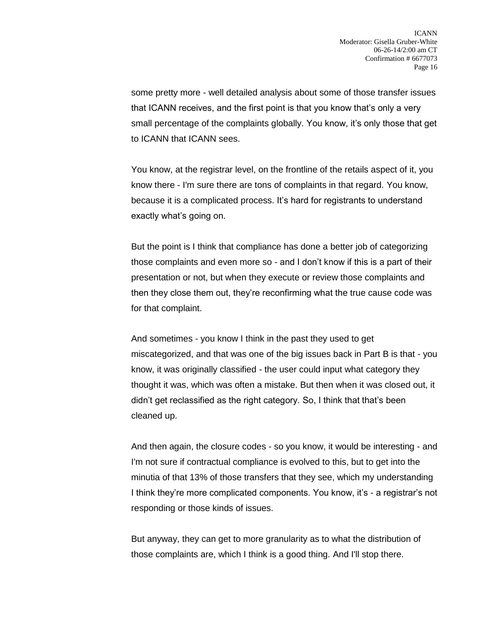some pretty more - well detailed analysis about some of those transfer issues that ICANN receives, and the first point is that you know that's only a very small percentage of the complaints globally. You know, it's only those that get to ICANN that ICANN sees.

You know, at the registrar level, on the frontline of the retails aspect of it, you know there - I'm sure there are tons of complaints in that regard. You know, because it is a complicated process. It's hard for registrants to understand exactly what's going on.

But the point is I think that compliance has done a better job of categorizing those complaints and even more so - and I don't know if this is a part of their presentation or not, but when they execute or review those complaints and then they close them out, they're reconfirming what the true cause code was for that complaint.

And sometimes - you know I think in the past they used to get miscategorized, and that was one of the big issues back in Part B is that - you know, it was originally classified - the user could input what category they thought it was, which was often a mistake. But then when it was closed out, it didn't get reclassified as the right category. So, I think that that's been cleaned up.

And then again, the closure codes - so you know, it would be interesting - and I'm not sure if contractual compliance is evolved to this, but to get into the minutia of that 13% of those transfers that they see, which my understanding I think they're more complicated components. You know, it's - a registrar's not responding or those kinds of issues.

But anyway, they can get to more granularity as to what the distribution of those complaints are, which I think is a good thing. And I'll stop there.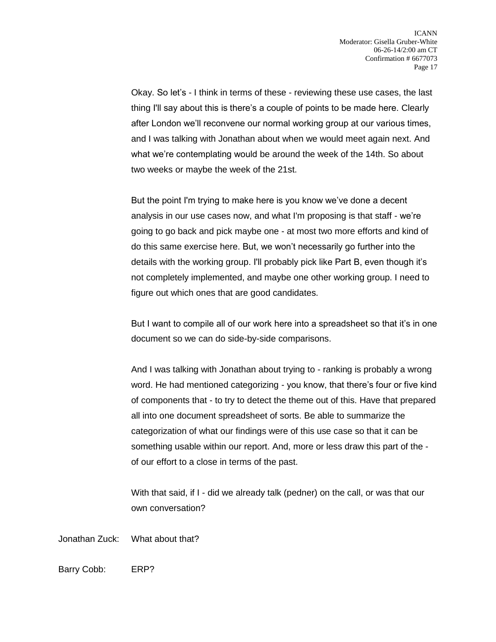Okay. So let's - I think in terms of these - reviewing these use cases, the last thing I'll say about this is there's a couple of points to be made here. Clearly after London we'll reconvene our normal working group at our various times, and I was talking with Jonathan about when we would meet again next. And what we're contemplating would be around the week of the 14th. So about two weeks or maybe the week of the 21st.

But the point I'm trying to make here is you know we've done a decent analysis in our use cases now, and what I'm proposing is that staff - we're going to go back and pick maybe one - at most two more efforts and kind of do this same exercise here. But, we won't necessarily go further into the details with the working group. I'll probably pick like Part B, even though it's not completely implemented, and maybe one other working group. I need to figure out which ones that are good candidates.

But I want to compile all of our work here into a spreadsheet so that it's in one document so we can do side-by-side comparisons.

And I was talking with Jonathan about trying to - ranking is probably a wrong word. He had mentioned categorizing - you know, that there's four or five kind of components that - to try to detect the theme out of this. Have that prepared all into one document spreadsheet of sorts. Be able to summarize the categorization of what our findings were of this use case so that it can be something usable within our report. And, more or less draw this part of the of our effort to a close in terms of the past.

With that said, if I - did we already talk (pedner) on the call, or was that our own conversation?

Jonathan Zuck: What about that?

Barry Cobb: ERP?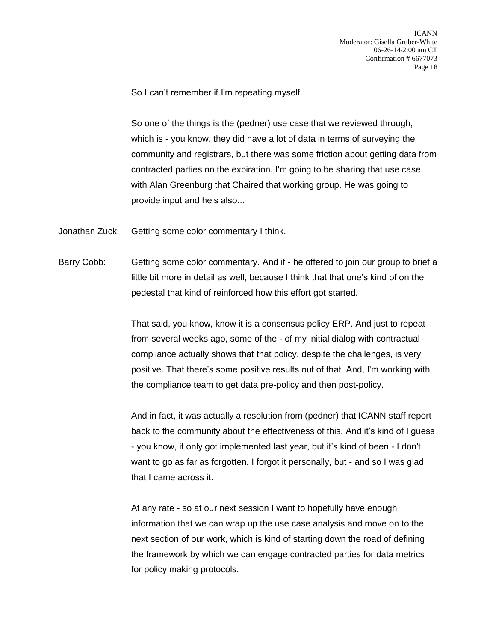So I can't remember if I'm repeating myself.

So one of the things is the (pedner) use case that we reviewed through, which is - you know, they did have a lot of data in terms of surveying the community and registrars, but there was some friction about getting data from contracted parties on the expiration. I'm going to be sharing that use case with Alan Greenburg that Chaired that working group. He was going to provide input and he's also...

- Jonathan Zuck: Getting some color commentary I think.
- Barry Cobb: Getting some color commentary. And if he offered to join our group to brief a little bit more in detail as well, because I think that that one's kind of on the pedestal that kind of reinforced how this effort got started.

That said, you know, know it is a consensus policy ERP. And just to repeat from several weeks ago, some of the - of my initial dialog with contractual compliance actually shows that that policy, despite the challenges, is very positive. That there's some positive results out of that. And, I'm working with the compliance team to get data pre-policy and then post-policy.

And in fact, it was actually a resolution from (pedner) that ICANN staff report back to the community about the effectiveness of this. And it's kind of I guess - you know, it only got implemented last year, but it's kind of been - I don't want to go as far as forgotten. I forgot it personally, but - and so I was glad that I came across it.

At any rate - so at our next session I want to hopefully have enough information that we can wrap up the use case analysis and move on to the next section of our work, which is kind of starting down the road of defining the framework by which we can engage contracted parties for data metrics for policy making protocols.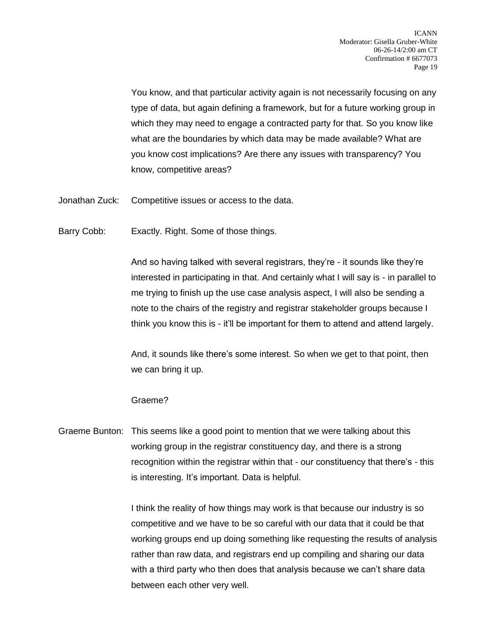You know, and that particular activity again is not necessarily focusing on any type of data, but again defining a framework, but for a future working group in which they may need to engage a contracted party for that. So you know like what are the boundaries by which data may be made available? What are you know cost implications? Are there any issues with transparency? You know, competitive areas?

- Jonathan Zuck: Competitive issues or access to the data.
- Barry Cobb: Exactly. Right. Some of those things.

And so having talked with several registrars, they're - it sounds like they're interested in participating in that. And certainly what I will say is - in parallel to me trying to finish up the use case analysis aspect, I will also be sending a note to the chairs of the registry and registrar stakeholder groups because I think you know this is - it'll be important for them to attend and attend largely.

And, it sounds like there's some interest. So when we get to that point, then we can bring it up.

## Graeme?

Graeme Bunton: This seems like a good point to mention that we were talking about this working group in the registrar constituency day, and there is a strong recognition within the registrar within that - our constituency that there's - this is interesting. It's important. Data is helpful.

> I think the reality of how things may work is that because our industry is so competitive and we have to be so careful with our data that it could be that working groups end up doing something like requesting the results of analysis rather than raw data, and registrars end up compiling and sharing our data with a third party who then does that analysis because we can't share data between each other very well.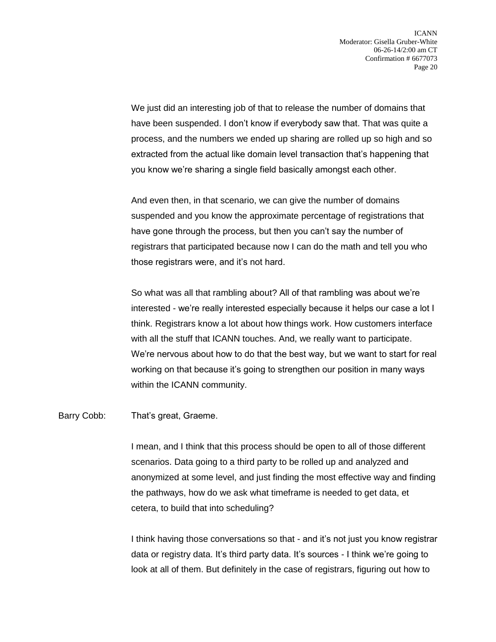We just did an interesting job of that to release the number of domains that have been suspended. I don't know if everybody saw that. That was quite a process, and the numbers we ended up sharing are rolled up so high and so extracted from the actual like domain level transaction that's happening that you know we're sharing a single field basically amongst each other.

And even then, in that scenario, we can give the number of domains suspended and you know the approximate percentage of registrations that have gone through the process, but then you can't say the number of registrars that participated because now I can do the math and tell you who those registrars were, and it's not hard.

So what was all that rambling about? All of that rambling was about we're interested - we're really interested especially because it helps our case a lot I think. Registrars know a lot about how things work. How customers interface with all the stuff that ICANN touches. And, we really want to participate. We're nervous about how to do that the best way, but we want to start for real working on that because it's going to strengthen our position in many ways within the ICANN community.

Barry Cobb: That's great, Graeme.

I mean, and I think that this process should be open to all of those different scenarios. Data going to a third party to be rolled up and analyzed and anonymized at some level, and just finding the most effective way and finding the pathways, how do we ask what timeframe is needed to get data, et cetera, to build that into scheduling?

I think having those conversations so that - and it's not just you know registrar data or registry data. It's third party data. It's sources - I think we're going to look at all of them. But definitely in the case of registrars, figuring out how to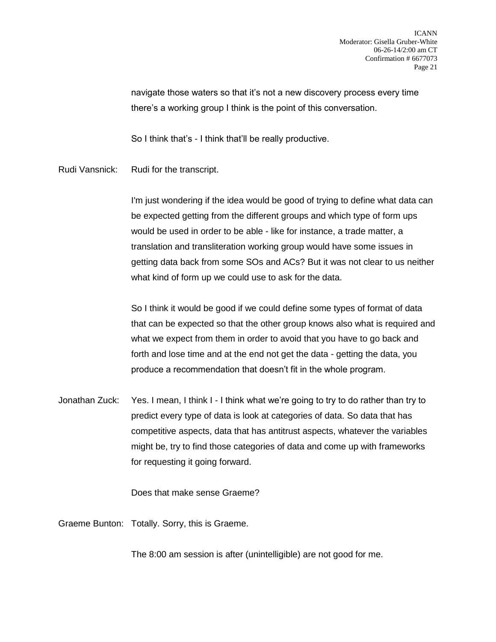navigate those waters so that it's not a new discovery process every time there's a working group I think is the point of this conversation.

So I think that's - I think that'll be really productive.

Rudi Vansnick: Rudi for the transcript.

I'm just wondering if the idea would be good of trying to define what data can be expected getting from the different groups and which type of form ups would be used in order to be able - like for instance, a trade matter, a translation and transliteration working group would have some issues in getting data back from some SOs and ACs? But it was not clear to us neither what kind of form up we could use to ask for the data.

So I think it would be good if we could define some types of format of data that can be expected so that the other group knows also what is required and what we expect from them in order to avoid that you have to go back and forth and lose time and at the end not get the data - getting the data, you produce a recommendation that doesn't fit in the whole program.

Jonathan Zuck: Yes. I mean, I think I - I think what we're going to try to do rather than try to predict every type of data is look at categories of data. So data that has competitive aspects, data that has antitrust aspects, whatever the variables might be, try to find those categories of data and come up with frameworks for requesting it going forward.

Does that make sense Graeme?

Graeme Bunton: Totally. Sorry, this is Graeme.

The 8:00 am session is after (unintelligible) are not good for me.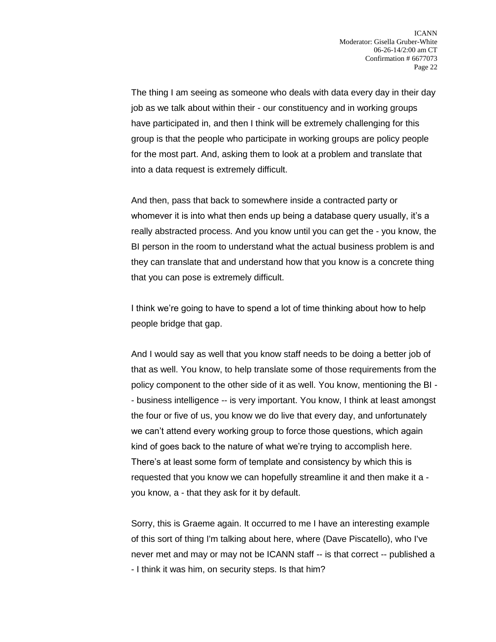The thing I am seeing as someone who deals with data every day in their day job as we talk about within their - our constituency and in working groups have participated in, and then I think will be extremely challenging for this group is that the people who participate in working groups are policy people for the most part. And, asking them to look at a problem and translate that into a data request is extremely difficult.

And then, pass that back to somewhere inside a contracted party or whomever it is into what then ends up being a database query usually, it's a really abstracted process. And you know until you can get the - you know, the BI person in the room to understand what the actual business problem is and they can translate that and understand how that you know is a concrete thing that you can pose is extremely difficult.

I think we're going to have to spend a lot of time thinking about how to help people bridge that gap.

And I would say as well that you know staff needs to be doing a better job of that as well. You know, to help translate some of those requirements from the policy component to the other side of it as well. You know, mentioning the BI - - business intelligence -- is very important. You know, I think at least amongst the four or five of us, you know we do live that every day, and unfortunately we can't attend every working group to force those questions, which again kind of goes back to the nature of what we're trying to accomplish here. There's at least some form of template and consistency by which this is requested that you know we can hopefully streamline it and then make it a you know, a - that they ask for it by default.

Sorry, this is Graeme again. It occurred to me I have an interesting example of this sort of thing I'm talking about here, where (Dave Piscatello), who I've never met and may or may not be ICANN staff -- is that correct -- published a - I think it was him, on security steps. Is that him?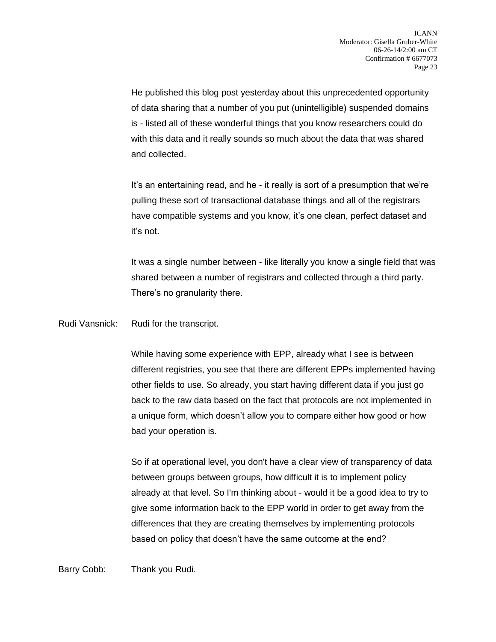He published this blog post yesterday about this unprecedented opportunity of data sharing that a number of you put (unintelligible) suspended domains is - listed all of these wonderful things that you know researchers could do with this data and it really sounds so much about the data that was shared and collected.

It's an entertaining read, and he - it really is sort of a presumption that we're pulling these sort of transactional database things and all of the registrars have compatible systems and you know, it's one clean, perfect dataset and it's not.

It was a single number between - like literally you know a single field that was shared between a number of registrars and collected through a third party. There's no granularity there.

Rudi Vansnick: Rudi for the transcript.

While having some experience with EPP, already what I see is between different registries, you see that there are different EPPs implemented having other fields to use. So already, you start having different data if you just go back to the raw data based on the fact that protocols are not implemented in a unique form, which doesn't allow you to compare either how good or how bad your operation is.

So if at operational level, you don't have a clear view of transparency of data between groups between groups, how difficult it is to implement policy already at that level. So I'm thinking about - would it be a good idea to try to give some information back to the EPP world in order to get away from the differences that they are creating themselves by implementing protocols based on policy that doesn't have the same outcome at the end?

Barry Cobb: Thank you Rudi.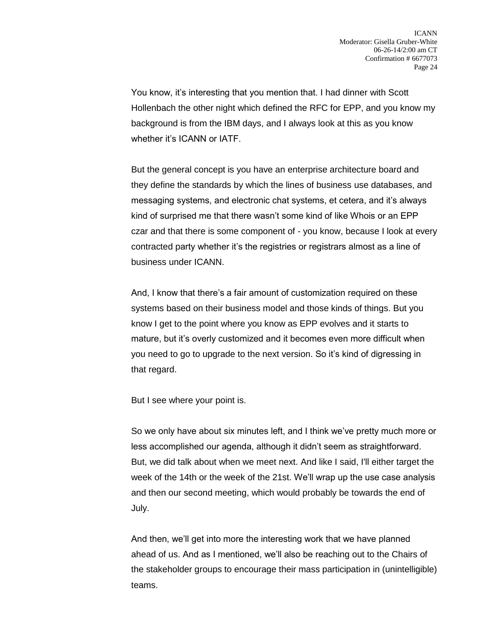You know, it's interesting that you mention that. I had dinner with Scott Hollenbach the other night which defined the RFC for EPP, and you know my background is from the IBM days, and I always look at this as you know whether it's ICANN or IATF.

But the general concept is you have an enterprise architecture board and they define the standards by which the lines of business use databases, and messaging systems, and electronic chat systems, et cetera, and it's always kind of surprised me that there wasn't some kind of like Whois or an EPP czar and that there is some component of - you know, because I look at every contracted party whether it's the registries or registrars almost as a line of business under ICANN.

And, I know that there's a fair amount of customization required on these systems based on their business model and those kinds of things. But you know I get to the point where you know as EPP evolves and it starts to mature, but it's overly customized and it becomes even more difficult when you need to go to upgrade to the next version. So it's kind of digressing in that regard.

But I see where your point is.

So we only have about six minutes left, and I think we've pretty much more or less accomplished our agenda, although it didn't seem as straightforward. But, we did talk about when we meet next. And like I said, I'll either target the week of the 14th or the week of the 21st. We'll wrap up the use case analysis and then our second meeting, which would probably be towards the end of July.

And then, we'll get into more the interesting work that we have planned ahead of us. And as I mentioned, we'll also be reaching out to the Chairs of the stakeholder groups to encourage their mass participation in (unintelligible) teams.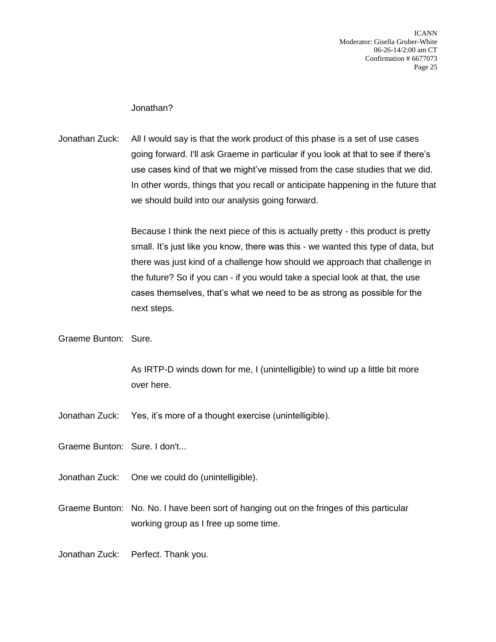Jonathan?

Jonathan Zuck: All I would say is that the work product of this phase is a set of use cases going forward. I'll ask Graeme in particular if you look at that to see if there's use cases kind of that we might've missed from the case studies that we did. In other words, things that you recall or anticipate happening in the future that we should build into our analysis going forward.

> Because I think the next piece of this is actually pretty - this product is pretty small. It's just like you know, there was this - we wanted this type of data, but there was just kind of a challenge how should we approach that challenge in the future? So if you can - if you would take a special look at that, the use cases themselves, that's what we need to be as strong as possible for the next steps.

Graeme Bunton: Sure.

As IRTP-D winds down for me, I (unintelligible) to wind up a little bit more over here.

- Jonathan Zuck: Yes, it's more of a thought exercise (unintelligible).
- Graeme Bunton: Sure. I don't...
- Jonathan Zuck: One we could do (unintelligible).
- Graeme Bunton: No. No. I have been sort of hanging out on the fringes of this particular working group as I free up some time.

Jonathan Zuck: Perfect. Thank you.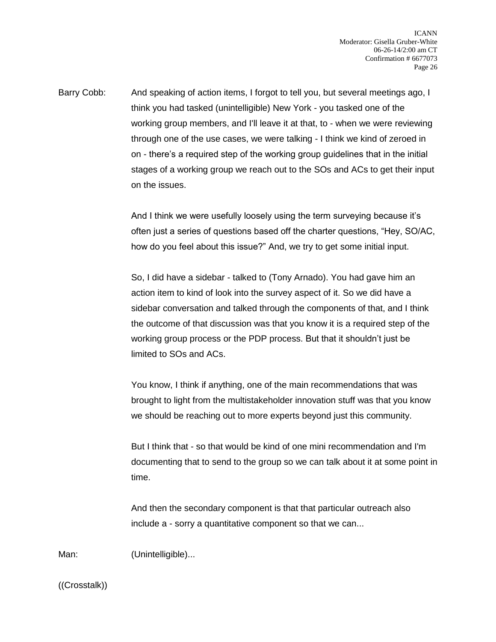Barry Cobb: And speaking of action items, I forgot to tell you, but several meetings ago, I think you had tasked (unintelligible) New York - you tasked one of the working group members, and I'll leave it at that, to - when we were reviewing through one of the use cases, we were talking - I think we kind of zeroed in on - there's a required step of the working group guidelines that in the initial stages of a working group we reach out to the SOs and ACs to get their input on the issues.

> And I think we were usefully loosely using the term surveying because it's often just a series of questions based off the charter questions, "Hey, SO/AC, how do you feel about this issue?" And, we try to get some initial input.

So, I did have a sidebar - talked to (Tony Arnado). You had gave him an action item to kind of look into the survey aspect of it. So we did have a sidebar conversation and talked through the components of that, and I think the outcome of that discussion was that you know it is a required step of the working group process or the PDP process. But that it shouldn't just be limited to SOs and ACs.

You know, I think if anything, one of the main recommendations that was brought to light from the multistakeholder innovation stuff was that you know we should be reaching out to more experts beyond just this community.

But I think that - so that would be kind of one mini recommendation and I'm documenting that to send to the group so we can talk about it at some point in time.

And then the secondary component is that that particular outreach also include a - sorry a quantitative component so that we can...

Man: (Unintelligible)...

((Crosstalk))